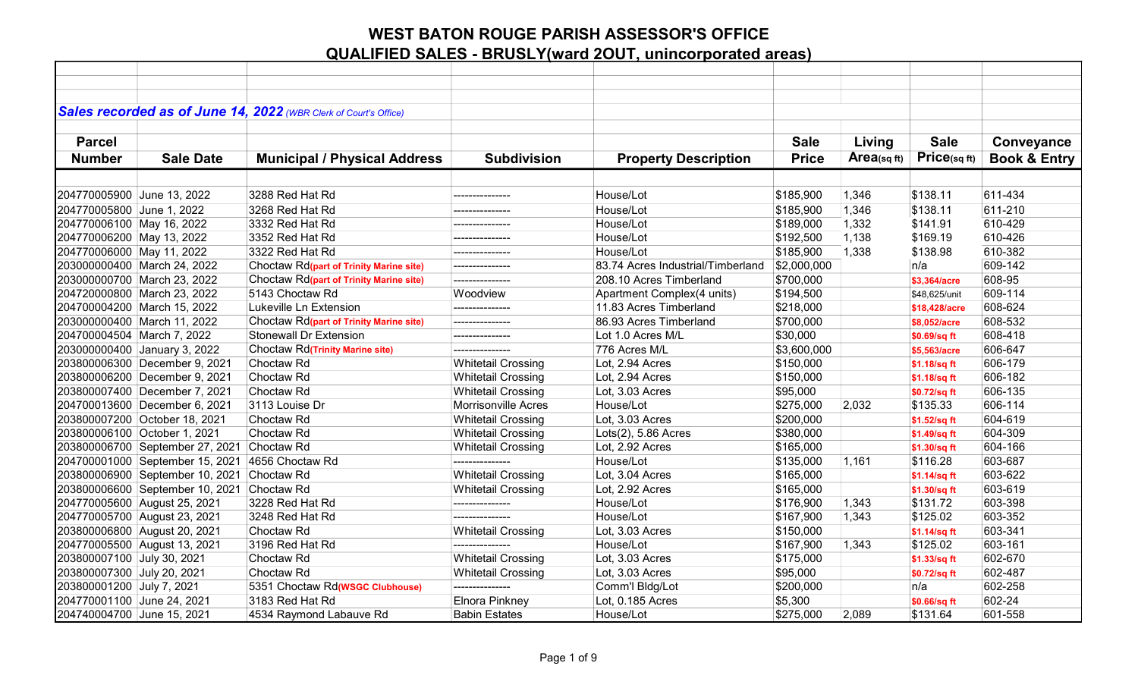|                            |                                                 | Sales recorded as of June 14, 2022 (WBR Clerk of Court's Office) |                            |                                   |              |            |               |                         |
|----------------------------|-------------------------------------------------|------------------------------------------------------------------|----------------------------|-----------------------------------|--------------|------------|---------------|-------------------------|
|                            |                                                 |                                                                  |                            |                                   |              |            |               |                         |
|                            |                                                 |                                                                  |                            |                                   |              |            |               |                         |
| <b>Parcel</b>              |                                                 |                                                                  |                            |                                   | <b>Sale</b>  | Living     | <b>Sale</b>   | Conveyance              |
| <b>Number</b>              | <b>Sale Date</b>                                | <b>Municipal / Physical Address</b>                              | <b>Subdivision</b>         | <b>Property Description</b>       | <b>Price</b> | Area(sqft) | Price(sqft)   | <b>Book &amp; Entry</b> |
|                            |                                                 |                                                                  |                            |                                   |              |            |               |                         |
| 204770005900 June 13, 2022 |                                                 | 3288 Red Hat Rd                                                  | -------------              | House/Lot                         | \$185,900    | 1,346      | \$138.11      | 611-434                 |
| 204770005800 June 1, 2022  |                                                 | 3268 Red Hat Rd                                                  | ---------------            | House/Lot                         | \$185,900    | 1,346      | \$138.11      | 611-210                 |
| 204770006100 May 16, 2022  |                                                 | 3332 Red Hat Rd                                                  |                            | House/Lot                         | \$189,000    | 1,332      | \$141.91      | 610-429                 |
| 204770006200 May 13, 2022  |                                                 | 3352 Red Hat Rd                                                  |                            | House/Lot                         | \$192,500    | 1,138      | \$169.19      | 610-426                 |
| 204770006000 May 11, 2022  |                                                 | 3322 Red Hat Rd                                                  | --------------             | House/Lot                         | \$185,900    | 1,338      | \$138.98      | 610-382                 |
|                            | 203000000400 March 24, 2022                     | Choctaw Rd(part of Trinity Marine site)                          | ---------------            | 83.74 Acres Industrial/Timberland | \$2,000,000  |            | n/a           | 609-142                 |
|                            | 203000000700 March 23, 2022                     | Choctaw Rd(part of Trinity Marine site)                          | ---------------            | 208.10 Acres Timberland           | \$700,000    |            | \$3,364/acre  | 608-95                  |
|                            | 204720000800 March 23, 2022                     | 5143 Choctaw Rd                                                  | Woodview                   | Apartment Complex(4 units)        | \$194,500    |            | \$48,625/unit | 609-114                 |
|                            | 204700004200 March 15, 2022                     | Lukeville Ln Extension                                           |                            | 11.83 Acres Timberland            | \$218,000    |            | \$18,428/acre | 608-624                 |
|                            | 203000000400 March 11, 2022                     | Choctaw Rd(part of Trinity Marine site)                          | ---------------            | 86.93 Acres Timberland            | \$700,000    |            | \$8,052/acre  | 608-532                 |
| 204700004504 March 7, 2022 |                                                 | <b>Stonewall Dr Extension</b>                                    | ---------------            | Lot 1.0 Acres M/L                 | \$30,000     |            | \$0.69/sq ft  | 608-418                 |
|                            | 203000000400 January 3, 2022                    | <b>Choctaw Rd</b> (Trinity Marine site)                          | ---------------            | 776 Acres M/L                     | \$3,600,000  |            | \$5,563/acre  | 606-647                 |
|                            | 203800006300 December 9, 2021                   | Choctaw <sub>Rd</sub>                                            | <b>Whitetail Crossing</b>  | Lot, 2.94 Acres                   | \$150,000    |            | \$1.18/sq ft  | 606-179                 |
|                            | 203800006200 December 9, 2021                   | Choctaw <sub>Rd</sub>                                            | <b>Whitetail Crossing</b>  | Lot, 2.94 Acres                   | \$150,000    |            | \$1.18/sq ft  | 606-182                 |
|                            | 203800007400 December 7, 2021                   | Choctaw <sub>Rd</sub>                                            | <b>Whitetail Crossing</b>  | Lot, 3.03 Acres                   | \$95,000     |            | \$0.72/sq ft  | 606-135                 |
|                            | 204700013600 December 6, 2021                   | 3113 Louise Dr                                                   | <b>Morrisonville Acres</b> | House/Lot                         | \$275,000    | 2,032      | \$135.33      | 606-114                 |
|                            | 203800007200 October 18, 2021                   | Choctaw <sub>Rd</sub>                                            | <b>Whitetail Crossing</b>  | Lot, 3.03 Acres                   | \$200,000    |            | \$1.52/sq ft  | 604-619                 |
|                            | 203800006100 October 1, 2021                    | Choctaw <sub>Rd</sub>                                            | <b>Whitetail Crossing</b>  | Lots(2), 5.86 Acres               | \$380,000    |            | \$1.49/sq ft  | 604-309                 |
|                            | 203800006700 September 27, 2021 Choctaw Rd      |                                                                  | <b>Whitetail Crossing</b>  | Lot, 2.92 Acres                   | \$165,000    |            | \$1.30/sq ft  | 604-166                 |
|                            | 204700001000 September 15, 2021 4656 Choctaw Rd |                                                                  |                            | House/Lot                         | \$135,000    | 1,161      | \$116.28      | 603-687                 |
|                            | 203800006900 September 10, 2021 Choctaw Rd      |                                                                  | <b>Whitetail Crossing</b>  | Lot, 3.04 Acres                   | \$165,000    |            | \$1.14/sq ft  | 603-622                 |
|                            | 203800006600 September 10, 2021 Choctaw Rd      |                                                                  | <b>Whitetail Crossing</b>  | Lot, 2.92 Acres                   | \$165,000    |            | \$1.30/sq ft  | 603-619                 |
|                            | 204770005600 August 25, 2021                    | 3228 Red Hat Rd                                                  |                            | House/Lot                         | \$176,900    | 1,343      | \$131.72      | 603-398                 |
|                            | 204770005700 August 23, 2021                    | 3248 Red Hat Rd                                                  |                            | House/Lot                         | \$167,900    | 1,343      | \$125.02      | 603-352                 |
|                            | 203800006800 August 20, 2021                    | Choctaw <sub>Rd</sub>                                            | <b>Whitetail Crossing</b>  | Lot, 3.03 Acres                   | \$150,000    |            | \$1.14/sq ft  | 603-341                 |
|                            | 204770005500 August 13, 2021                    | 3196 Red Hat Rd                                                  | ---------------            | House/Lot                         | \$167,900    | 1,343      | \$125.02      | 603-161                 |
| 203800007100 July 30, 2021 |                                                 | Choctaw <sub>Rd</sub>                                            | <b>Whitetail Crossing</b>  | Lot, 3.03 Acres                   | \$175,000    |            | \$1.33/sq ft  | 602-670                 |
| 203800007300 July 20, 2021 |                                                 | Choctaw <sub>Rd</sub>                                            | <b>Whitetail Crossing</b>  | Lot, 3.03 Acres                   | \$95,000     |            | \$0.72/sq ft  | 602-487                 |
| 203800001200 July 7, 2021  |                                                 | 5351 Choctaw Rd( <b>WSGC Clubhouse</b> )                         | ---------------            | Comm'l Bldg/Lot                   | \$200,000    |            | n/a           | 602-258                 |
| 204770001100 June 24, 2021 |                                                 | 3183 Red Hat Rd                                                  | Elnora Pinkney             | Lot, 0.185 Acres                  | \$5,300      |            | \$0.66/sq ft  | 602-24                  |
| 204740004700 June 15, 2021 |                                                 | 4534 Raymond Labauve Rd                                          | <b>Babin Estates</b>       | House/Lot                         | \$275,000    | 2,089      | \$131.64      | 601-558                 |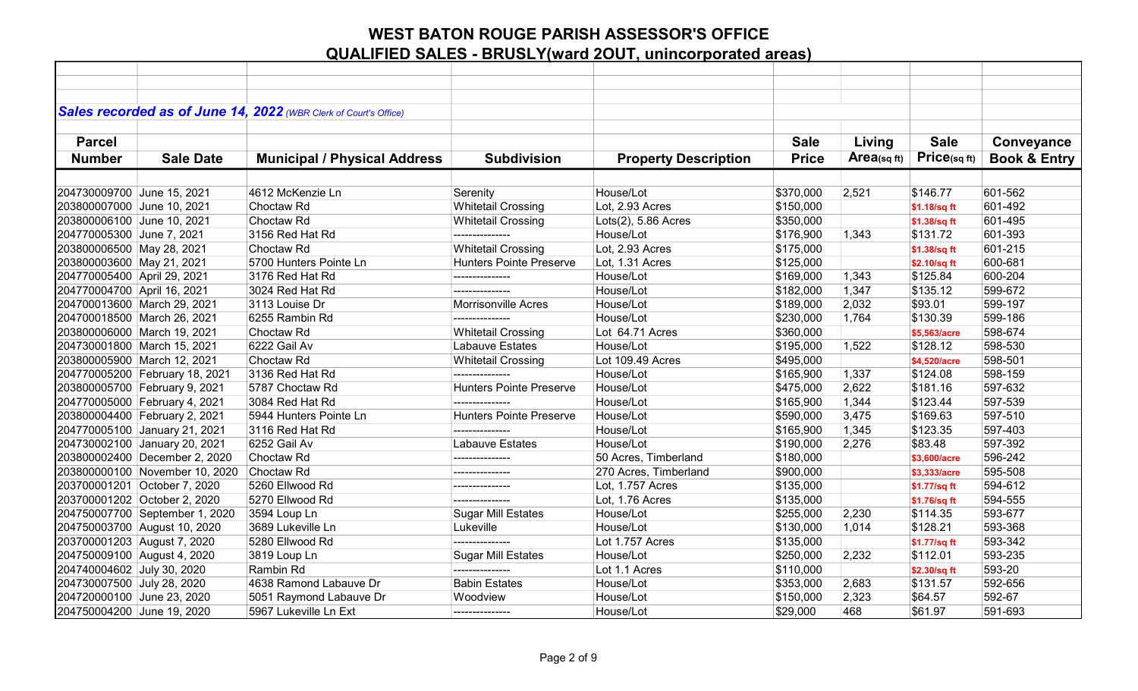|                             |                                | Sales recorded as of June 14, 2022 (WBR Clerk of Court's Office) |                                |                             |              |            |              |                         |
|-----------------------------|--------------------------------|------------------------------------------------------------------|--------------------------------|-----------------------------|--------------|------------|--------------|-------------------------|
| <b>Parcel</b>               |                                |                                                                  |                                |                             | <b>Sale</b>  |            | <b>Sale</b>  |                         |
|                             |                                |                                                                  |                                |                             |              | Living     |              | Conveyance              |
| <b>Number</b>               | <b>Sale Date</b>               | <b>Municipal / Physical Address</b>                              | <b>Subdivision</b>             | <b>Property Description</b> | <b>Price</b> | Area(sqft) | Price(sqft)  | <b>Book &amp; Entry</b> |
|                             |                                |                                                                  |                                |                             |              |            |              |                         |
| 204730009700 June 15, 2021  |                                | 4612 McKenzie Ln                                                 | Serenity                       | House/Lot                   | \$370,000    | 2,521      | \$146.77     | 601-562                 |
| 203800007000 June 10, 2021  |                                | Choctaw <sub>Rd</sub>                                            | <b>Whitetail Crossing</b>      | Lot, 2.93 Acres             | \$150,000    |            | \$1.18/sq ft | 601-492                 |
| 203800006100 June 10, 2021  |                                | Choctaw Rd                                                       | <b>Whitetail Crossing</b>      | Lots(2), 5.86 Acres         | \$350,000    |            | \$1.38/sq ft | 601-495                 |
| 204770005300 June 7, 2021   |                                | 3156 Red Hat Rd                                                  |                                | House/Lot                   | \$176,900    | 1,343      | \$131.72     | 601-393                 |
| 203800006500 May 28, 2021   |                                | Choctaw <sub>Rd</sub>                                            | <b>Whitetail Crossing</b>      | Lot, 2.93 Acres             | \$175,000    |            | \$1.38/sq ft | 601-215                 |
| 203800003600 May 21, 2021   |                                | 5700 Hunters Pointe Ln                                           | <b>Hunters Pointe Preserve</b> | Lot, 1.31 Acres             | \$125,000    |            | \$2.10/sq ft | 600-681                 |
| 204770005400 April 29, 2021 |                                | 3176 Red Hat Rd                                                  | ---------------                | House/Lot                   | \$169,000    | 1,343      | \$125.84     | 600-204                 |
| 204770004700 April 16, 2021 |                                | 3024 Red Hat Rd                                                  |                                | House/Lot                   | \$182,000    | 1,347      | \$135.12     | 599-672                 |
|                             | 204700013600 March 29, 2021    | 3113 Louise Dr                                                   | <b>Morrisonville Acres</b>     | House/Lot                   | \$189,000    | 2,032      | \$93.01      | 599-197                 |
|                             | 204700018500 March 26, 2021    | 6255 Rambin Rd                                                   | ---------------                | House/Lot                   | \$230,000    | 1,764      | \$130.39     | 599-186                 |
|                             | 203800006000 March 19, 2021    | Choctaw <sub>Rd</sub>                                            | <b>Whitetail Crossing</b>      | Lot 64.71 Acres             | \$360,000    |            | \$5,563/acre | 598-674                 |
|                             | 204730001800 March 15, 2021    | 6222 Gail Av                                                     | <b>Labauve Estates</b>         | House/Lot                   | \$195,000    | 1,522      | \$128.12     | 598-530                 |
|                             | 203800005900 March 12, 2021    | Choctaw <sub>Rd</sub>                                            | <b>Whitetail Crossing</b>      | Lot 109.49 Acres            | \$495,000    |            | \$4,520/acre | 598-501                 |
|                             | 204770005200 February 18, 2021 | 3136 Red Hat Rd                                                  | ---------------                | House/Lot                   | \$165,900    | 1,337      | \$124.08     | 598-159                 |
|                             | 203800005700 February 9, 2021  | 5787 Choctaw Rd                                                  | <b>Hunters Pointe Preserve</b> | House/Lot                   | \$475,000    | 2,622      | \$181.16     | 597-632                 |
|                             | 204770005000 February 4, 2021  | 3084 Red Hat Rd                                                  |                                | House/Lot                   | \$165,900    | 1,344      | \$123.44     | 597-539                 |
|                             | 203800004400 February 2, 2021  | 5944 Hunters Pointe Ln                                           | <b>Hunters Pointe Preserve</b> | House/Lot                   | \$590,000    | 3,475      | \$169.63     | 597-510                 |
|                             | 204770005100 January 21, 2021  | 3116 Red Hat Rd                                                  |                                | House/Lot                   | \$165,900    | 1,345      | \$123.35     | 597-403                 |
|                             | 204730002100 January 20, 2021  | 6252 Gail Av                                                     | <b>Labauve Estates</b>         | House/Lot                   | \$190,000    | 2,276      | \$83.48      | 597-392                 |
|                             | 203800002400 December 2, 2020  | Choctaw <sub>Rd</sub>                                            | ---------------                | 50 Acres, Timberland        | \$180,000    |            | \$3,600/acre | 596-242                 |
|                             | 203800000100 November 10, 2020 | Choctaw <sub>Rd</sub>                                            | ---------------                | 270 Acres, Timberland       | \$900,000    |            | \$3,333/acre | 595-508                 |
|                             | 203700001201 October 7, 2020   | 5260 Ellwood Rd                                                  | ---------------                | Lot, 1.757 Acres            | \$135,000    |            | \$1.77/sq ft | 594-612                 |
|                             | 203700001202 October 2, 2020   | 5270 Ellwood Rd                                                  | ---------------                | Lot, 1.76 Acres             | \$135,000    |            | \$1.76/sq ft | 594-555                 |
|                             | 204750007700 September 1, 2020 | 3594 Loup Ln                                                     | <b>Sugar Mill Estates</b>      | House/Lot                   | \$255,000    | 2,230      | \$114.35     | 593-677                 |
|                             | 204750003700 August 10, 2020   | 3689 Lukeville Ln                                                | Lukeville                      | House/Lot                   | \$130,000    | 1,014      | \$128.21     | 593-368                 |
|                             | 203700001203 August 7, 2020    | 5280 Ellwood Rd                                                  | ---------------                | Lot 1.757 Acres             | \$135,000    |            | \$1.77/sq ft | 593-342                 |
|                             | 204750009100 August 4, 2020    | 3819 Loup Ln                                                     | <b>Sugar Mill Estates</b>      | House/Lot                   | \$250,000    | 2,232      | \$112.01     | 593-235                 |
| 204740004602 July 30, 2020  |                                | Rambin Rd                                                        | ---------------                | Lot 1.1 Acres               | \$110,000    |            | \$2.30/sq ft | 593-20                  |
| 204730007500 July 28, 2020  |                                | 4638 Ramond Labauve Dr                                           | <b>Babin Estates</b>           | House/Lot                   | \$353,000    | 2,683      | \$131.57     | 592-656                 |
| 204720000100 June 23, 2020  |                                | 5051 Raymond Labauve Dr                                          | Woodview                       | House/Lot                   | \$150,000    | 2,323      | \$64.57      | 592-67                  |
| 204750004200 June 19, 2020  |                                | 5967 Lukeville Ln Ext                                            | ---------------                | House/Lot                   | \$29,000     | 468        | \$61.97      | 591-693                 |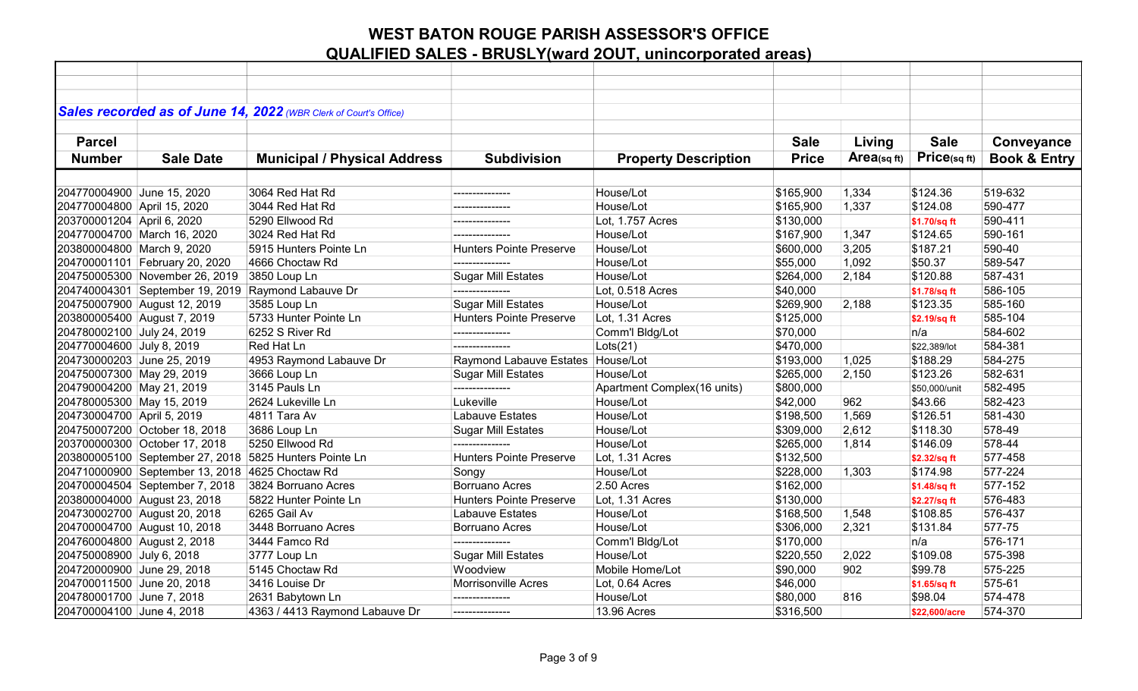|                             |                                                 | Sales recorded as of June 14, 2022 (WBR Clerk of Court's Office) |                                   |                             |              |                |               |                         |
|-----------------------------|-------------------------------------------------|------------------------------------------------------------------|-----------------------------------|-----------------------------|--------------|----------------|---------------|-------------------------|
|                             |                                                 |                                                                  |                                   |                             |              |                |               |                         |
| <b>Parcel</b>               |                                                 |                                                                  |                                   |                             | <b>Sale</b>  | Living         | <b>Sale</b>   | Conveyance              |
| <b>Number</b>               | <b>Sale Date</b>                                | <b>Municipal / Physical Address</b>                              | <b>Subdivision</b>                | <b>Property Description</b> | <b>Price</b> | $Area$ (sq ft) | Price(sqft)   | <b>Book &amp; Entry</b> |
|                             |                                                 |                                                                  |                                   |                             |              |                |               |                         |
|                             |                                                 |                                                                  |                                   |                             |              |                |               |                         |
| 204770004900 June 15, 2020  |                                                 | 3064 Red Hat Rd                                                  | ---------------                   | House/Lot                   | \$165,900    | 1,334          | \$124.36      | 519-632                 |
| 204770004800 April 15, 2020 |                                                 | 3044 Red Hat Rd                                                  | ---------------                   | House/Lot                   | \$165,900    | 1,337          | \$124.08      | 590-477                 |
| 203700001204 April 6, 2020  |                                                 | 5290 Ellwood Rd                                                  | ---------------                   | Lot, 1.757 Acres            | \$130,000    |                | \$1.70/sq ft  | 590-411                 |
|                             | 204770004700 March 16, 2020                     | 3024 Red Hat Rd                                                  |                                   | House/Lot                   | \$167,900    | 1,347          | \$124.65      | 590-161                 |
| 203800004800 March 9, 2020  |                                                 | 5915 Hunters Pointe Ln                                           | <b>Hunters Pointe Preserve</b>    | House/Lot                   | \$600,000    | 3,205          | \$187.21      | 590-40                  |
|                             | 204700001101 February 20, 2020                  | 4666 Choctaw Rd                                                  | ---------------                   | House/Lot                   | \$55,000     | 1,092          | \$50.37       | 589-547                 |
|                             | 204750005300 November 26, 2019                  | 3850 Loup Ln                                                     | <b>Sugar Mill Estates</b>         | House/Lot                   | \$264,000    | 2,184          | \$120.88      | 587-431                 |
|                             | 204740004301 September 19, 2019                 | Raymond Labauve Dr                                               | ---------------                   | Lot, 0.518 Acres            | \$40,000     |                | \$1.78/sq ft  | 586-105                 |
|                             | 204750007900 August 12, 2019                    | 3585 Loup Ln                                                     | <b>Sugar Mill Estates</b>         | House/Lot                   | \$269,900    | 2,188          | \$123.35      | 585-160                 |
|                             | 203800005400 August 7, 2019                     | 5733 Hunter Pointe Ln                                            | <b>Hunters Pointe Preserve</b>    | Lot, 1.31 Acres             | \$125,000    |                | \$2.19/sq ft  | 585-104                 |
| 204780002100 July 24, 2019  |                                                 | 6252 S River Rd                                                  | ---------------                   | Comm'l Bldg/Lot             | \$70,000     |                | n/a           | 584-602                 |
| 204770004600 July 8, 2019   |                                                 | Red Hat Ln                                                       | ---------------                   | Lots(21)                    | \$470,000    |                | \$22,389/lot  | 584-381                 |
| 204730000203 June 25, 2019  |                                                 | 4953 Raymond Labauve Dr                                          | Raymond Labauve Estates House/Lot |                             | \$193,000    | 1,025          | \$188.29      | 584-275                 |
| 204750007300 May 29, 2019   |                                                 | 3666 Loup Ln                                                     | <b>Sugar Mill Estates</b>         | House/Lot                   | \$265,000    | 2,150          | \$123.26      | 582-631                 |
| 204790004200 May 21, 2019   |                                                 | 3145 Pauls Ln                                                    | ---------------                   | Apartment Complex(16 units) | \$800,000    |                | \$50,000/unit | 582-495                 |
| 204780005300 May 15, 2019   |                                                 | 2624 Lukeville Ln                                                | Lukeville                         | House/Lot                   | \$42,000     | 962            | \$43.66       | 582-423                 |
| 204730004700 April 5, 2019  |                                                 | 4811 Tara Av                                                     | Labauve Estates                   | House/Lot                   | \$198,500    | 1,569          | \$126.51      | 581-430                 |
|                             | 204750007200 October 18, 2018                   | 3686 Loup Ln                                                     | <b>Sugar Mill Estates</b>         | House/Lot                   | \$309,000    | 2,612          | \$118.30      | 578-49                  |
|                             | 203700000300 October 17, 2018                   | 5250 Ellwood Rd                                                  | ---------------                   | House/Lot                   | \$265,000    | 1,814          | \$146.09      | 578-44                  |
|                             |                                                 | 203800005100 September 27, 2018 5825 Hunters Pointe Ln           | <b>Hunters Pointe Preserve</b>    | Lot, 1.31 Acres             | \$132,500    |                | \$2.32/sq ft  | 577-458                 |
|                             | 204710000900 September 13, 2018 4625 Choctaw Rd |                                                                  | Songy                             | House/Lot                   | \$228,000    | 1,303          | \$174.98      | 577-224                 |
|                             | 204700004504 September 7, 2018                  | 3824 Borruano Acres                                              | <b>Borruano Acres</b>             | 2.50 Acres                  | \$162,000    |                | \$1.48/sq ft  | 577-152                 |
|                             | 203800004000 August 23, 2018                    | 5822 Hunter Pointe Ln                                            | <b>Hunters Pointe Preserve</b>    | Lot, 1.31 Acres             | \$130,000    |                | \$2.27/sq ft  | 576-483                 |
|                             | 204730002700 August 20, 2018                    | 6265 Gail Av                                                     | Labauve Estates                   | House/Lot                   | \$168,500    | 1,548          | \$108.85      | 576-437                 |
|                             | 204700004700 August 10, 2018                    | 3448 Borruano Acres                                              | <b>Borruano Acres</b>             | House/Lot                   | \$306,000    | 2,321          | \$131.84      | 577-75                  |
|                             | 204760004800 August 2, 2018                     | 3444 Famco Rd                                                    | ---------------                   | Comm'l Bldg/Lot             | \$170,000    |                | n/a           | 576-171                 |
| 204750008900 July 6, 2018   |                                                 | 3777 Loup Ln                                                     | <b>Sugar Mill Estates</b>         | House/Lot                   | \$220,550    | 2,022          | \$109.08      | 575-398                 |
| 204720000900 June 29, 2018  |                                                 | 5145 Choctaw Rd                                                  | Woodview                          | Mobile Home/Lot             | \$90,000     | 902            | \$99.78       | 575-225                 |
| 204700011500 June 20, 2018  |                                                 | 3416 Louise Dr                                                   | <b>Morrisonville Acres</b>        | Lot, 0.64 Acres             | \$46,000     |                | \$1.65/sq ft  | 575-61                  |
| 204780001700 June 7, 2018   |                                                 | 2631 Babytown Ln                                                 | ---------------                   | House/Lot                   | \$80,000     | 816            | \$98.04       | 574-478                 |
| 204700004100 June 4, 2018   |                                                 | 4363 / 4413 Raymond Labauve Dr                                   | ---------------                   | 13.96 Acres                 | \$316,500    |                | \$22,600/acre | 574-370                 |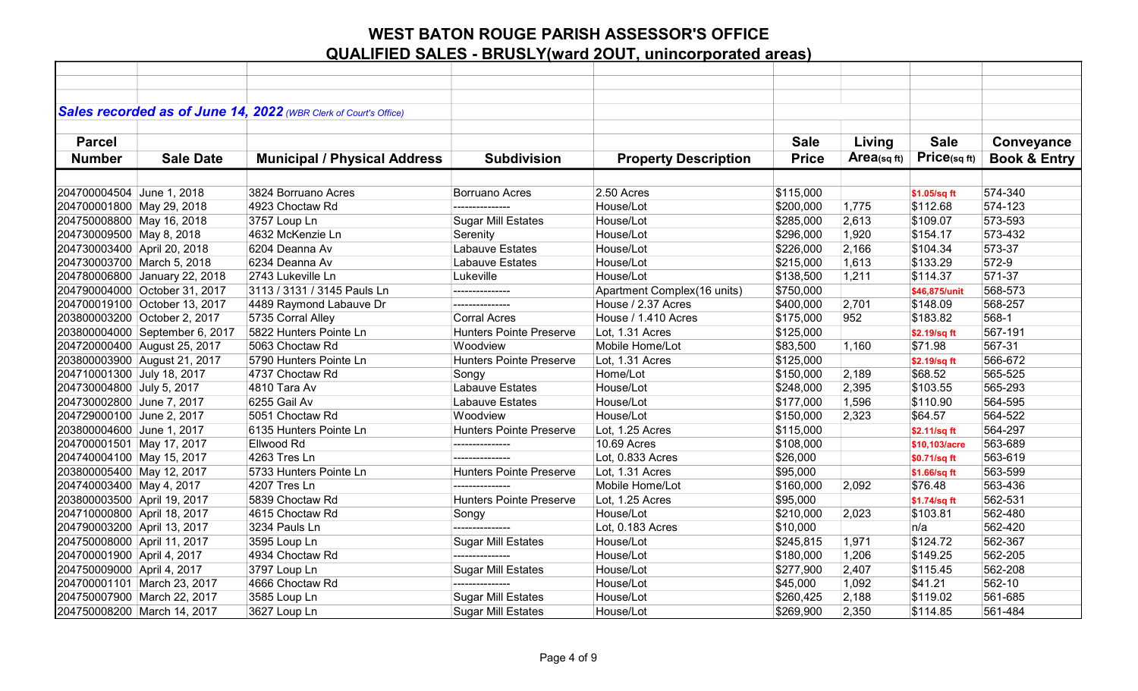|                             |                                | Sales recorded as of June 14, 2022 (WBR Clerk of Court's Office) |                                |                             |              |            |               |                         |
|-----------------------------|--------------------------------|------------------------------------------------------------------|--------------------------------|-----------------------------|--------------|------------|---------------|-------------------------|
|                             |                                |                                                                  |                                |                             |              |            |               |                         |
| <b>Parcel</b>               |                                |                                                                  |                                |                             | <b>Sale</b>  | Living     | <b>Sale</b>   | Conveyance              |
| <b>Number</b>               | <b>Sale Date</b>               | <b>Municipal / Physical Address</b>                              | <b>Subdivision</b>             | <b>Property Description</b> | <b>Price</b> | Area(sqft) | Price(sq ft)  | <b>Book &amp; Entry</b> |
|                             |                                |                                                                  |                                |                             |              |            |               |                         |
| 204700004504 June 1, 2018   |                                | 3824 Borruano Acres                                              | Borruano Acres                 | 2.50 Acres                  | \$115,000    |            | \$1.05/sq ft  | 574-340                 |
| 204700001800 May 29, 2018   |                                | 4923 Choctaw Rd                                                  | ---------------                | House/Lot                   | \$200,000    | 1,775      | \$112.68      | 574-123                 |
| 204750008800 May 16, 2018   |                                | 3757 Loup Ln                                                     | <b>Sugar Mill Estates</b>      | House/Lot                   | \$285,000    | 2,613      | \$109.07      | 573-593                 |
| 204730009500 May 8, 2018    |                                | 4632 McKenzie Ln                                                 | Serenity                       | House/Lot                   | \$296,000    | 1,920      | \$154.17      | 573-432                 |
| 204730003400 April 20, 2018 |                                | 6204 Deanna Av                                                   | Labauve Estates                | House/Lot                   | \$226,000    | 2,166      | \$104.34      | 573-37                  |
| 204730003700 March 5, 2018  |                                | 6234 Deanna Av                                                   | Labauve Estates                | House/Lot                   | \$215,000    | 1,613      | \$133.29      | 572-9                   |
|                             | 204780006800 January 22, 2018  | 2743 Lukeville Ln                                                | Lukeville                      | House/Lot                   | \$138,500    | 1,211      | \$114.37      | 571-37                  |
|                             | 204790004000 October 31, 2017  | 3113 / 3131 / 3145 Pauls Ln                                      |                                | Apartment Complex(16 units) | \$750,000    |            | \$46,875/unit | 568-573                 |
|                             | 204700019100 October 13, 2017  | 4489 Raymond Labauve Dr                                          | ---------------                | House / 2.37 Acres          | \$400,000    | 2,701      | \$148.09      | 568-257                 |
|                             | 203800003200 October 2, 2017   | 5735 Corral Alley                                                | <b>Corral Acres</b>            | House / 1.410 Acres         | \$175,000    | 952        | \$183.82      | 568-1                   |
|                             | 203800004000 September 6, 2017 | 5822 Hunters Pointe Ln                                           | <b>Hunters Pointe Preserve</b> | Lot, 1.31 Acres             | \$125,000    |            | \$2.19/sq ft  | 567-191                 |
|                             | 204720000400 August 25, 2017   | 5063 Choctaw Rd                                                  | Woodview                       | Mobile Home/Lot             | \$83,500     | 1,160      | \$71.98       | 567-31                  |
|                             | 203800003900 August 21, 2017   | 5790 Hunters Pointe Ln                                           | <b>Hunters Pointe Preserve</b> | Lot, 1.31 Acres             | \$125,000    |            | \$2.19/sq ft  | 566-672                 |
| 204710001300 July 18, 2017  |                                | 4737 Choctaw Rd                                                  | Songy                          | Home/Lot                    | \$150,000    | 2,189      | \$68.52       | 565-525                 |
| 204730004800 July 5, 2017   |                                | 4810 Tara Av                                                     | <b>Labauve Estates</b>         | House/Lot                   | \$248,000    | 2,395      | \$103.55      | 565-293                 |
| 204730002800 June 7, 2017   |                                | 6255 Gail Av                                                     | Labauve Estates                | House/Lot                   | \$177,000    | 1,596      | \$110.90      | 564-595                 |
| 204729000100 June 2, 2017   |                                | 5051 Choctaw Rd                                                  | Woodview                       | House/Lot                   | \$150,000    | 2,323      | \$64.57       | 564-522                 |
| 203800004600 June 1, 2017   |                                | 6135 Hunters Pointe Ln                                           | <b>Hunters Pointe Preserve</b> | Lot, 1.25 Acres             | \$115,000    |            | \$2.11/sq ft  | 564-297                 |
| 204700001501 May 17, 2017   |                                | Ellwood Rd                                                       | ---------------                | <b>10.69 Acres</b>          | \$108,000    |            | \$10,103/acre | 563-689                 |
| 204740004100 May 15, 2017   |                                | 4263 Tres Ln                                                     | ---------------                | Lot, 0.833 Acres            | \$26,000     |            | \$0.71/sq ft  | 563-619                 |
| 203800005400 May 12, 2017   |                                | 5733 Hunters Pointe Ln                                           | <b>Hunters Pointe Preserve</b> | Lot, 1.31 Acres             | \$95,000     |            | \$1.66/sq ft  | 563-599                 |
| 204740003400 May 4, 2017    |                                | 4207 Tres Ln                                                     | ---------------                | Mobile Home/Lot             | \$160,000    | 2,092      | \$76.48       | 563-436                 |
| 203800003500 April 19, 2017 |                                | 5839 Choctaw Rd                                                  | <b>Hunters Pointe Preserve</b> | Lot, 1.25 Acres             | \$95,000     |            | \$1.74/sq ft  | 562-531                 |
| 204710000800 April 18, 2017 |                                | 4615 Choctaw Rd                                                  | Songy                          | House/Lot                   | \$210,000    | 2,023      | \$103.81      | 562-480                 |
| 204790003200 April 13, 2017 |                                | 3234 Pauls Ln                                                    | .                              | Lot, 0.183 Acres            | \$10,000     |            | n/a           | 562-420                 |
| 204750008000 April 11, 2017 |                                | 3595 Loup Ln                                                     | <b>Sugar Mill Estates</b>      | House/Lot                   | \$245,815    | 1,971      | \$124.72      | 562-367                 |
| 204700001900 April 4, 2017  |                                | 4934 Choctaw Rd                                                  | ---------------                | House/Lot                   | \$180,000    | 1,206      | \$149.25      | 562-205                 |
| 204750009000 April 4, 2017  |                                | 3797 Loup Ln                                                     | <b>Sugar Mill Estates</b>      | House/Lot                   | \$277,900    | 2,407      | \$115.45      | 562-208                 |
|                             | 204700001101 March 23, 2017    | 4666 Choctaw Rd                                                  |                                | House/Lot                   | \$45,000     | 1,092      | \$41.21       | 562-10                  |
|                             | 204750007900 March 22, 2017    | 3585 Loup Ln                                                     | <b>Sugar Mill Estates</b>      | House/Lot                   | \$260,425    | 2,188      | \$119.02      | 561-685                 |
|                             | 204750008200 March 14, 2017    | 3627 Loup Ln                                                     | <b>Sugar Mill Estates</b>      | House/Lot                   | \$269,900    | 2,350      | \$114.85      | 561-484                 |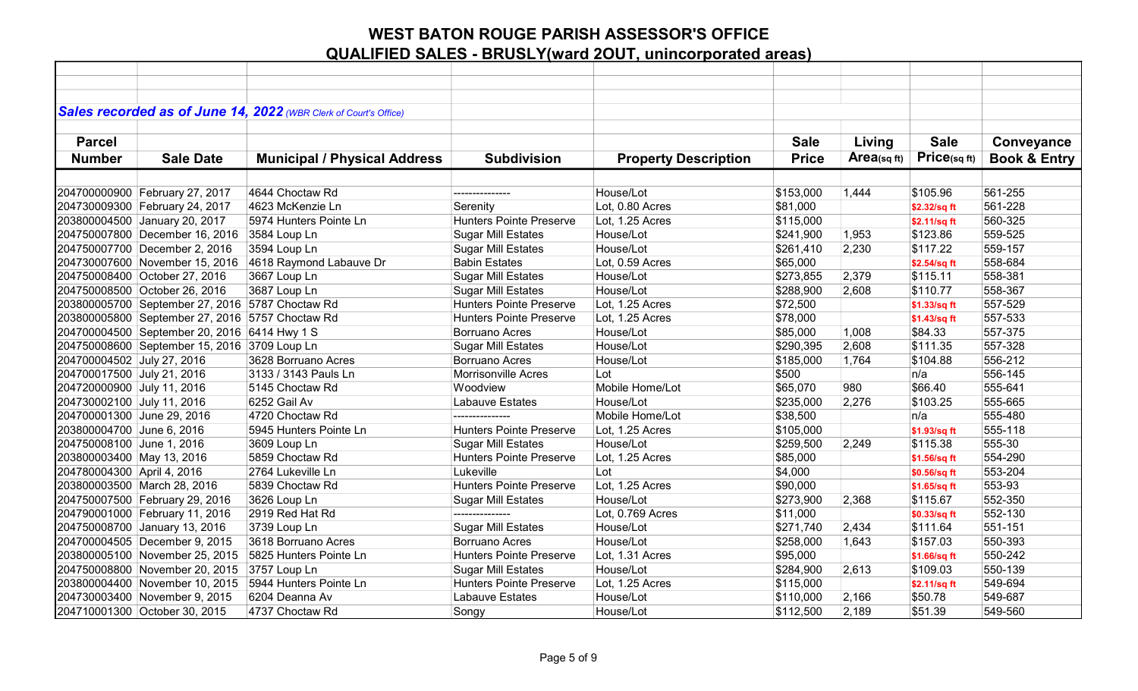|                            |                                                 | Sales recorded as of June 14, 2022 (WBR Clerk of Court's Office) |                                |                             |              |            |              |                         |
|----------------------------|-------------------------------------------------|------------------------------------------------------------------|--------------------------------|-----------------------------|--------------|------------|--------------|-------------------------|
| <b>Parcel</b>              |                                                 |                                                                  |                                |                             | <b>Sale</b>  | Living     | <b>Sale</b>  | Conveyance              |
|                            |                                                 |                                                                  |                                |                             |              | Area(sqft) | Price(sq ft) |                         |
| <b>Number</b>              | <b>Sale Date</b>                                | <b>Municipal / Physical Address</b>                              | <b>Subdivision</b>             | <b>Property Description</b> | <b>Price</b> |            |              | <b>Book &amp; Entry</b> |
|                            |                                                 |                                                                  |                                |                             |              |            |              |                         |
|                            | 204700000900 February 27, 2017                  | 4644 Choctaw Rd                                                  | ---------------                | House/Lot                   | \$153,000    | 1,444      | \$105.96     | 561-255                 |
|                            | 204730009300 February 24, 2017                  | 4623 McKenzie Ln                                                 | Serenity                       | Lot, 0.80 Acres             | \$81,000     |            | \$2.32/sq ft | 561-228                 |
|                            | 203800004500 January 20, 2017                   | 5974 Hunters Pointe Ln                                           | <b>Hunters Pointe Preserve</b> | Lot, 1.25 Acres             | \$115,000    |            | \$2.11/sq ft | 560-325                 |
|                            | 204750007800 December 16, 2016                  | 3584 Loup Ln                                                     | <b>Sugar Mill Estates</b>      | House/Lot                   | \$241,900    | 1,953      | \$123.86     | 559-525                 |
|                            | 204750007700 December 2, 2016                   | 3594 Loup Ln                                                     | <b>Sugar Mill Estates</b>      | House/Lot                   | \$261,410    | 2,230      | \$117.22     | 559-157                 |
|                            | 204730007600 November 15, 2016                  | 4618 Raymond Labauve Dr                                          | <b>Babin Estates</b>           | Lot, 0.59 Acres             | \$65,000     |            | \$2.54/sq ft | 558-684                 |
|                            | 204750008400 October 27, 2016                   | 3667 Loup Ln                                                     | <b>Sugar Mill Estates</b>      | House/Lot                   | \$273,855    | 2,379      | \$115.11     | 558-381                 |
|                            | 204750008500 October 26, 2016                   | 3687 Loup Ln                                                     | <b>Sugar Mill Estates</b>      | House/Lot                   | \$288,900    | 2,608      | \$110.77     | 558-367                 |
|                            | 203800005700 September 27, 2016 5787 Choctaw Rd |                                                                  | <b>Hunters Pointe Preserve</b> | Lot, 1.25 Acres             | \$72,500     |            | \$1.33/sq ft | 557-529                 |
|                            | 203800005800 September 27, 2016 5757 Choctaw Rd |                                                                  | <b>Hunters Pointe Preserve</b> | Lot, 1.25 Acres             | \$78,000     |            | \$1.43/sq ft | 557-533                 |
|                            | 204700004500 September 20, 2016 6414 Hwy 1 S    |                                                                  | <b>Borruano Acres</b>          | House/Lot                   | \$85,000     | 1,008      | \$84.33      | 557-375                 |
|                            | 204750008600 September 15, 2016 3709 Loup Ln    |                                                                  | <b>Sugar Mill Estates</b>      | House/Lot                   | \$290,395    | 2,608      | \$111.35     | 557-328                 |
| 204700004502 July 27, 2016 |                                                 | 3628 Borruano Acres                                              | <b>Borruano Acres</b>          | House/Lot                   | \$185,000    | 1,764      | \$104.88     | 556-212                 |
| 204700017500 July 21, 2016 |                                                 | 3133 / 3143 Pauls Ln                                             | <b>Morrisonville Acres</b>     | Lot                         | \$500        |            | n/a          | 556-145                 |
| 204720000900 July 11, 2016 |                                                 | 5145 Choctaw Rd                                                  | Woodview                       | Mobile Home/Lot             | \$65,070     | 980        | \$66.40      | 555-641                 |
| 204730002100 July 11, 2016 |                                                 | 6252 Gail Av                                                     | Labauve Estates                | House/Lot                   | \$235,000    | 2,276      | \$103.25     | 555-665                 |
| 204700001300 June 29, 2016 |                                                 | 4720 Choctaw Rd                                                  |                                | Mobile Home/Lot             | \$38,500     |            | n/a          | 555-480                 |
| 203800004700 June 6, 2016  |                                                 | 5945 Hunters Pointe Ln                                           | <b>Hunters Pointe Preserve</b> | Lot, 1.25 Acres             | \$105,000    |            | \$1.93/sq ft | 555-118                 |
| 204750008100 June 1, 2016  |                                                 | 3609 Loup Ln                                                     | <b>Sugar Mill Estates</b>      | House/Lot                   | \$259,500    | 2,249      | \$115.38     | 555-30                  |
| 203800003400 May 13, 2016  |                                                 | 5859 Choctaw Rd                                                  | <b>Hunters Pointe Preserve</b> | Lot, 1.25 Acres             | \$85,000     |            | \$1.56/sq ft | 554-290                 |
| 204780004300 April 4, 2016 |                                                 | 2764 Lukeville Ln                                                | Lukeville                      | Lot                         | \$4,000      |            | \$0.56/sq ft | 553-204                 |
|                            | 203800003500 March 28, 2016                     | 5839 Choctaw Rd                                                  | <b>Hunters Pointe Preserve</b> | Lot, 1.25 Acres             | \$90,000     |            | \$1.65/sq ft | 553-93                  |
|                            | 204750007500 February 29, 2016                  | 3626 Loup Ln                                                     | <b>Sugar Mill Estates</b>      | House/Lot                   | \$273,900    | 2,368      | \$115.67     | 552-350                 |
|                            | 204790001000 February 11, 2016                  | 2919 Red Hat Rd                                                  | ---------------                | Lot, 0.769 Acres            | \$11,000     |            | \$0.33/sq ft | 552-130                 |
|                            | 204750008700 January 13, 2016                   | 3739 Loup Ln                                                     | <b>Sugar Mill Estates</b>      | House/Lot                   | \$271,740    | 2,434      | \$111.64     | 551-151                 |
|                            | 204700004505 December 9, 2015                   | 3618 Borruano Acres                                              | <b>Borruano Acres</b>          | House/Lot                   | \$258,000    | 1,643      | \$157.03     | 550-393                 |
|                            | 203800005100 November 25, 2015                  | 5825 Hunters Pointe Ln                                           | <b>Hunters Pointe Preserve</b> | Lot, 1.31 Acres             | \$95,000     |            | \$1.66/sq ft | 550-242                 |
|                            | 204750008800 November 20, 2015                  | 3757 Loup Ln                                                     | <b>Sugar Mill Estates</b>      | House/Lot                   | \$284,900    | 2,613      | \$109.03     | 550-139                 |
|                            | 203800004400 November 10, 2015                  | 5944 Hunters Pointe Ln                                           | <b>Hunters Pointe Preserve</b> | Lot, 1.25 Acres             | \$115,000    |            | \$2.11/sq ft | 549-694                 |
|                            | 204730003400 November 9, 2015                   | 6204 Deanna Av                                                   | Labauve Estates                | House/Lot                   | \$110,000    | 2,166      | \$50.78      | 549-687                 |
|                            | 204710001300 October 30, 2015                   | 4737 Choctaw Rd                                                  | Songy                          | House/Lot                   | \$112,500    | 2,189      | \$51.39      | 549-560                 |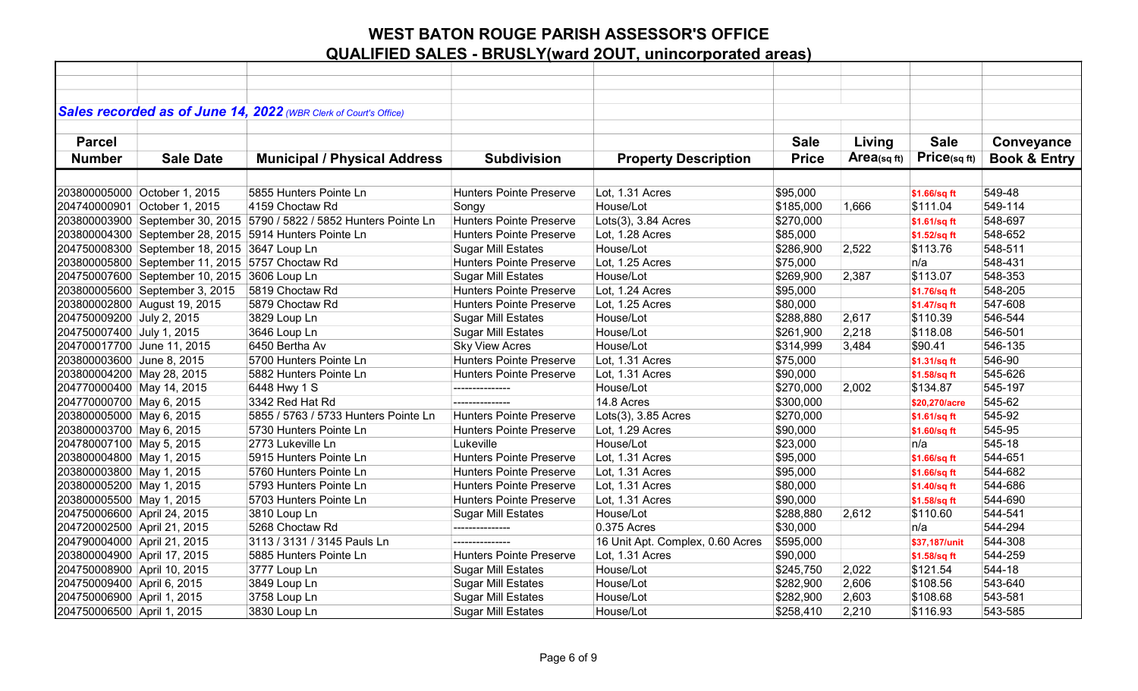|                             |                                                 | Sales recorded as of June 14, 2022 (WBR Clerk of Court's Office)     |                                |                                  |              |                         |               |                         |
|-----------------------------|-------------------------------------------------|----------------------------------------------------------------------|--------------------------------|----------------------------------|--------------|-------------------------|---------------|-------------------------|
| <b>Parcel</b>               |                                                 |                                                                      |                                |                                  | <b>Sale</b>  |                         | <b>Sale</b>   |                         |
|                             |                                                 |                                                                      |                                |                                  |              | Living                  |               | Conveyance              |
| <b>Number</b>               | <b>Sale Date</b>                                | <b>Municipal / Physical Address</b>                                  | <b>Subdivision</b>             | <b>Property Description</b>      | <b>Price</b> | Area <sub>(sq ft)</sub> | Price(sqft)   | <b>Book &amp; Entry</b> |
|                             |                                                 |                                                                      |                                |                                  |              |                         |               |                         |
|                             | 203800005000 October 1, 2015                    | 5855 Hunters Pointe Ln                                               | <b>Hunters Pointe Preserve</b> | Lot, 1.31 Acres                  | \$95,000     |                         | \$1.66/sq ft  | 549-48                  |
|                             | 204740000901 October 1, 2015                    | 4159 Choctaw Rd                                                      | Songy                          | House/Lot                        | \$185,000    | 1,666                   | \$111.04      | 549-114                 |
|                             |                                                 | 203800003900 September 30, 2015 5790 / 5822 / 5852 Hunters Pointe Ln | <b>Hunters Pointe Preserve</b> | Lots(3), 3.84 Acres              | \$270,000    |                         | \$1.61/sq ft  | 548-697                 |
|                             |                                                 | 203800004300 September 28, 2015 5914 Hunters Pointe Ln               | <b>Hunters Pointe Preserve</b> | Lot, 1.28 Acres                  | \$85,000     |                         | \$1.52/sq ft  | 548-652                 |
|                             | 204750008300 September 18, 2015 3647 Loup Ln    |                                                                      | <b>Sugar Mill Estates</b>      | House/Lot                        | \$286,900    | 2,522                   | \$113.76      | 548-511                 |
|                             | 203800005800 September 11, 2015 5757 Choctaw Rd |                                                                      | <b>Hunters Pointe Preserve</b> | Lot, 1.25 Acres                  | \$75,000     |                         | n/a           | 548-431                 |
|                             | 204750007600 September 10, 2015 3606 Loup Ln    |                                                                      | <b>Sugar Mill Estates</b>      | House/Lot                        | \$269,900    | 2,387                   | \$113.07      | 548-353                 |
|                             | 203800005600 September 3, 2015                  | 5819 Choctaw Rd                                                      | <b>Hunters Pointe Preserve</b> | Lot, 1.24 Acres                  | \$95,000     |                         | \$1.76/sq ft  | 548-205                 |
|                             | 203800002800 August 19, 2015                    | 5879 Choctaw Rd                                                      | <b>Hunters Pointe Preserve</b> | Lot, 1.25 Acres                  | \$80,000     |                         | \$1.47/sq ft  | 547-608                 |
| 204750009200 July 2, 2015   |                                                 | 3829 Loup Ln                                                         | <b>Sugar Mill Estates</b>      | House/Lot                        | \$288,880    | 2,617                   | \$110.39      | 546-544                 |
| 204750007400 July 1, 2015   |                                                 | 3646 Loup Ln                                                         | <b>Sugar Mill Estates</b>      | House/Lot                        | \$261,900    | 2,218                   | \$118.08      | 546-501                 |
| 204700017700 June 11, 2015  |                                                 | 6450 Bertha Av                                                       | <b>Sky View Acres</b>          | House/Lot                        | \$314,999    | 3,484                   | \$90.41       | 546-135                 |
| 203800003600 June 8, 2015   |                                                 | 5700 Hunters Pointe Ln                                               | <b>Hunters Pointe Preserve</b> | Lot, 1.31 Acres                  | \$75,000     |                         | \$1.31/sq ft  | 546-90                  |
| 203800004200 May 28, 2015   |                                                 | 5882 Hunters Pointe Ln                                               | <b>Hunters Pointe Preserve</b> | Lot, 1.31 Acres                  | \$90,000     |                         | \$1.58/sq ft  | 545-626                 |
| 204770000400 May 14, 2015   |                                                 | 6448 Hwy 1 S                                                         | ---------------                | House/Lot                        | \$270,000    | 2,002                   | \$134.87      | 545-197                 |
| 204770000700 May 6, 2015    |                                                 | 3342 Red Hat Rd                                                      |                                | 14.8 Acres                       | \$300,000    |                         | \$20.270/acre | 545-62                  |
| 203800005000 May 6, 2015    |                                                 | 5855 / 5763 / 5733 Hunters Pointe Ln                                 | <b>Hunters Pointe Preserve</b> | Lots(3), 3.85 Acres              | \$270,000    |                         | \$1.61/sq ft  | 545-92                  |
| 203800003700 May 6, 2015    |                                                 | 5730 Hunters Pointe Ln                                               | <b>Hunters Pointe Preserve</b> | Lot, 1.29 Acres                  | \$90,000     |                         | \$1.60/sq ft  | 545-95                  |
| 204780007100 May 5, 2015    |                                                 | 2773 Lukeville Ln                                                    | Lukeville                      | House/Lot                        | \$23,000     |                         | n/a           | 545-18                  |
| 203800004800 May 1, 2015    |                                                 | 5915 Hunters Pointe Ln                                               | <b>Hunters Pointe Preserve</b> | Lot, 1.31 Acres                  | \$95,000     |                         | \$1.66/sq ft  | 544-651                 |
| 203800003800 May 1, 2015    |                                                 | 5760 Hunters Pointe Ln                                               | <b>Hunters Pointe Preserve</b> | Lot, 1.31 Acres                  | \$95,000     |                         | \$1.66/sq ft  | 544-682                 |
| 203800005200 May 1, 2015    |                                                 | 5793 Hunters Pointe Ln                                               | <b>Hunters Pointe Preserve</b> | Lot, 1.31 Acres                  | \$80,000     |                         | \$1.40/sq ft  | 544-686                 |
| 203800005500 May 1, 2015    |                                                 | 5703 Hunters Pointe Ln                                               | <b>Hunters Pointe Preserve</b> | Lot, 1.31 Acres                  | \$90,000     |                         | \$1.58/sq ft  | 544-690                 |
| 204750006600 April 24, 2015 |                                                 | 3810 Loup Ln                                                         | <b>Sugar Mill Estates</b>      | House/Lot                        | \$288,880    | 2,612                   | \$110.60      | 544-541                 |
| 204720002500 April 21, 2015 |                                                 | 5268 Choctaw Rd                                                      | ---------------                | 0.375 Acres                      | \$30,000     |                         | n/a           | 544-294                 |
| 204790004000 April 21, 2015 |                                                 | 3113 / 3131 / 3145 Pauls Ln                                          | ---------------                | 16 Unit Apt. Complex, 0.60 Acres | \$595,000    |                         | \$37,187/unit | 544-308                 |
| 203800004900 April 17, 2015 |                                                 | 5885 Hunters Pointe Ln                                               | <b>Hunters Pointe Preserve</b> | Lot, 1.31 Acres                  | \$90,000     |                         | \$1.58/sq ft  | 544-259                 |
| 204750008900 April 10, 2015 |                                                 | 3777 Loup Ln                                                         | <b>Sugar Mill Estates</b>      | House/Lot                        | \$245,750    | 2,022                   | \$121.54      | 544-18                  |
| 204750009400 April 6, 2015  |                                                 | 3849 Loup Ln                                                         | <b>Sugar Mill Estates</b>      | House/Lot                        | \$282,900    | 2,606                   | \$108.56      | 543-640                 |
| 204750006900 April 1, 2015  |                                                 | 3758 Loup Ln                                                         | <b>Sugar Mill Estates</b>      | House/Lot                        | \$282,900    | 2,603                   | \$108.68      | 543-581                 |
| 204750006500 April 1, 2015  |                                                 | 3830 Loup Ln                                                         | <b>Sugar Mill Estates</b>      | House/Lot                        | \$258,410    | 2,210                   | \$116.93      | 543-585                 |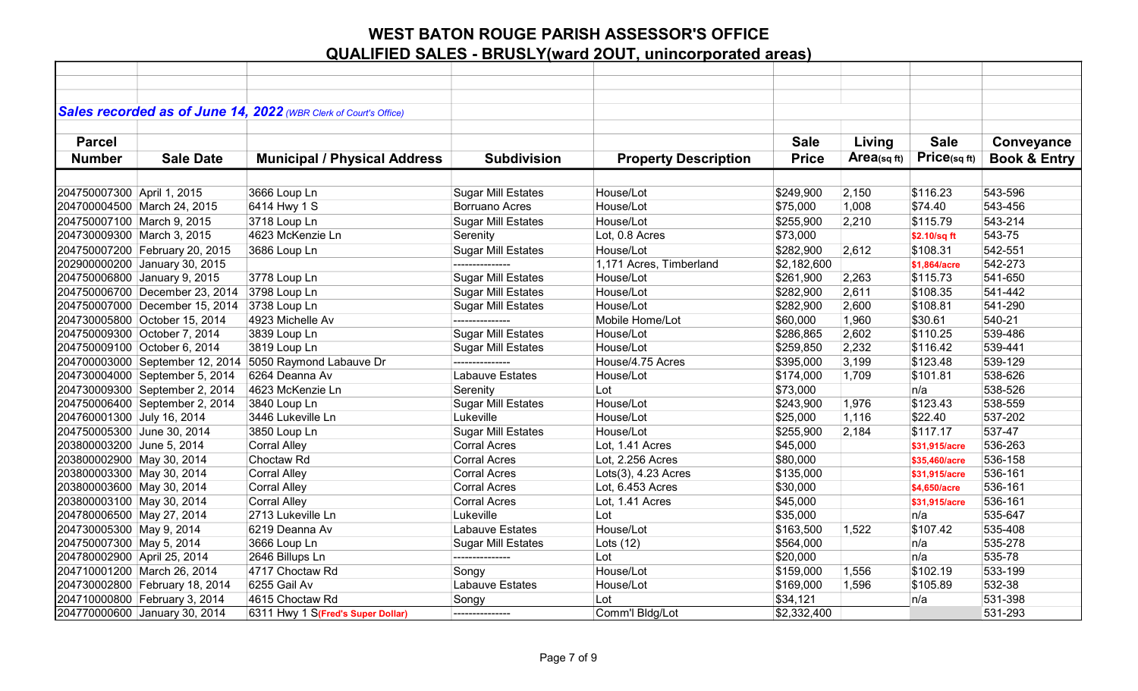|                             |                                 | Sales recorded as of June 14, 2022 (WBR Clerk of Court's Office) |                           |                             |              |            |               |                         |
|-----------------------------|---------------------------------|------------------------------------------------------------------|---------------------------|-----------------------------|--------------|------------|---------------|-------------------------|
|                             |                                 |                                                                  |                           |                             |              |            |               |                         |
| <b>Parcel</b>               |                                 |                                                                  |                           |                             | <b>Sale</b>  | Living     | <b>Sale</b>   | Conveyance              |
|                             |                                 |                                                                  |                           |                             |              | Area(sqft) | Price(sq ft)  |                         |
| <b>Number</b>               | <b>Sale Date</b>                | <b>Municipal / Physical Address</b>                              | <b>Subdivision</b>        | <b>Property Description</b> | <b>Price</b> |            |               | <b>Book &amp; Entry</b> |
|                             |                                 |                                                                  |                           |                             |              |            |               |                         |
| 204750007300 April 1, 2015  |                                 | 3666 Loup Ln                                                     | <b>Sugar Mill Estates</b> | House/Lot                   | \$249,900    | 2,150      | \$116.23      | 543-596                 |
|                             | 204700004500 March 24, 2015     | 6414 Hwy 1 S                                                     | <b>Borruano Acres</b>     | House/Lot                   | \$75,000     | 1,008      | \$74.40       | 543-456                 |
| 204750007100 March 9, 2015  |                                 | 3718 Loup Ln                                                     | <b>Sugar Mill Estates</b> | House/Lot                   | \$255,900    | 2,210      | \$115.79      | 543-214                 |
| 204730009300 March 3, 2015  |                                 | 4623 McKenzie Ln                                                 | Serenity                  | Lot, 0.8 Acres              | \$73,000     |            | \$2.10/sq ft  | 543-75                  |
|                             | 204750007200 February 20, 2015  | 3686 Loup Ln                                                     | <b>Sugar Mill Estates</b> | House/Lot                   | \$282,900    | 2,612      | \$108.31      | 542-551                 |
|                             | 202900000200 January 30, 2015   |                                                                  |                           | 1,171 Acres, Timberland     | \$2,182,600  |            | \$1,864/acre  | 542-273                 |
|                             | 204750006800 January 9, 2015    | 3778 Loup Ln                                                     | <b>Sugar Mill Estates</b> | House/Lot                   | \$261,900    | 2,263      | \$115.73      | 541-650                 |
|                             | 204750006700 December 23, 2014  | 3798 Loup Ln                                                     | <b>Sugar Mill Estates</b> | House/Lot                   | \$282,900    | 2,611      | \$108.35      | 541-442                 |
|                             | 204750007000 December 15, 2014  | 3738 Loup Ln                                                     | <b>Sugar Mill Estates</b> | House/Lot                   | \$282,900    | 2,600      | \$108.81      | 541-290                 |
|                             | 204730005800 October 15, 2014   | 4923 Michelle Av                                                 | ---------------           | Mobile Home/Lot             | \$60,000     | 1,960      | \$30.61       | 540-21                  |
|                             | 204750009300 October 7, 2014    | 3839 Loup Ln                                                     | <b>Sugar Mill Estates</b> | House/Lot                   | \$286,865    | 2,602      | \$110.25      | 539-486                 |
|                             | 204750009100 October 6, 2014    | 3819 Loup Ln                                                     | <b>Sugar Mill Estates</b> | House/Lot                   | \$259,850    | 2,232      | \$116.42      | 539-441                 |
|                             | 204700003000 September 12, 2014 | 5050 Raymond Labauve Dr                                          |                           | House/4.75 Acres            | \$395,000    | 3,199      | \$123.48      | 539-129                 |
|                             | 204730004000 September 5, 2014  | 6264 Deanna Av                                                   | Labauve Estates           | House/Lot                   | \$174,000    | 1,709      | \$101.81      | 538-626                 |
|                             | 204730009300 September 2, 2014  | 4623 McKenzie Ln                                                 | Serenity                  | Lot                         | \$73,000     |            | n/a           | 538-526                 |
|                             | 204750006400 September 2, 2014  | 3840 Loup Ln                                                     | <b>Sugar Mill Estates</b> | House/Lot                   | \$243,900    | 1,976      | \$123.43      | 538-559                 |
| 204760001300 July 16, 2014  |                                 | 3446 Lukeville Ln                                                | Lukeville                 | House/Lot                   | \$25,000     | 1,116      | \$22.40       | 537-202                 |
| 204750005300 June 30, 2014  |                                 | 3850 Loup Ln                                                     | <b>Sugar Mill Estates</b> | House/Lot                   | \$255,900    | 2,184      | \$117.17      | 537-47                  |
| 203800003200 June 5, 2014   |                                 | <b>Corral Alley</b>                                              | <b>Corral Acres</b>       | Lot, 1.41 Acres             | \$45,000     |            | \$31,915/acre | 536-263                 |
| 203800002900 May 30, 2014   |                                 | Choctaw Rd                                                       | <b>Corral Acres</b>       | Lot, 2.256 Acres            | \$80,000     |            | \$35,460/acre | 536-158                 |
| 203800003300 May 30, 2014   |                                 | <b>Corral Alley</b>                                              | <b>Corral Acres</b>       | Lots(3), 4.23 Acres         | \$135,000    |            | \$31,915/acre | 536-161                 |
| 203800003600 May 30, 2014   |                                 | <b>Corral Alley</b>                                              | <b>Corral Acres</b>       | Lot, 6.453 Acres            | \$30,000     |            | \$4,650/acre  | 536-161                 |
| 203800003100 May 30, 2014   |                                 | <b>Corral Alley</b>                                              | <b>Corral Acres</b>       | Lot, 1.41 Acres             | \$45,000     |            | \$31,915/acre | 536-161                 |
| 204780006500 May 27, 2014   |                                 | 2713 Lukeville Ln                                                | Lukeville                 | Lot                         | \$35,000     |            | n/a           | 535-647                 |
| 204730005300 May 9, 2014    |                                 | 6219 Deanna Av                                                   | Labauve Estates           | House/Lot                   | \$163,500    | 1,522      | \$107.42      | 535-408                 |
| 204750007300 May 5, 2014    |                                 | 3666 Loup Ln                                                     | <b>Sugar Mill Estates</b> | Lots $(12)$                 | \$564,000    |            | n/a           | 535-278                 |
| 204780002900 April 25, 2014 |                                 | 2646 Billups Ln                                                  |                           | Lot                         | \$20,000     |            | n/a           | 535-78                  |
|                             | 204710001200 March 26, 2014     | 4717 Choctaw Rd                                                  | Songy                     | House/Lot                   | \$159,000    | 1,556      | \$102.19      | 533-199                 |
|                             | 204730002800 February 18, 2014  | 6255 Gail Av                                                     | <b>Labauve Estates</b>    | House/Lot                   | \$169,000    | 1,596      | \$105.89      | 532-38                  |
|                             | 204710000800 February 3, 2014   | 4615 Choctaw Rd                                                  | Songy                     | Lot                         | \$34,121     |            | n/a           | 531-398                 |
|                             | 204770000600 January 30, 2014   | 6311 Hwy 1 S(Fred's Super Dollar)                                | ---------------           | Comm'l Bldg/Lot             | \$2,332,400  |            |               | 531-293                 |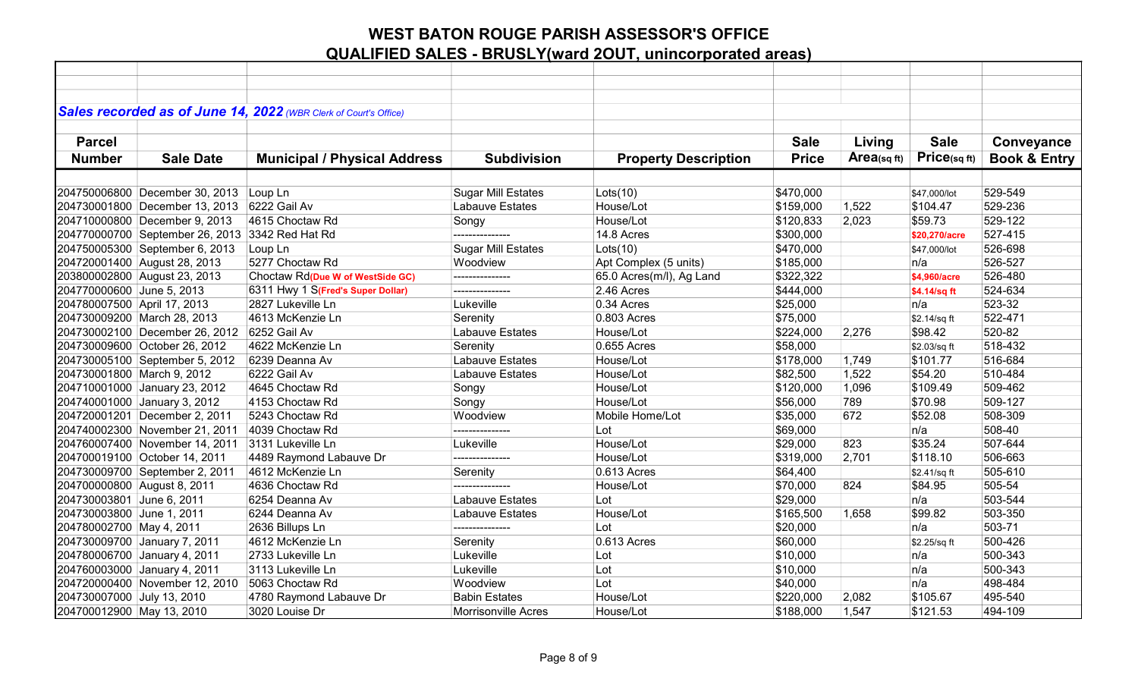|                             |                                                 | Sales recorded as of June 14, 2022 (WBR Clerk of Court's Office) |                           |                             |              |                |               |                         |
|-----------------------------|-------------------------------------------------|------------------------------------------------------------------|---------------------------|-----------------------------|--------------|----------------|---------------|-------------------------|
|                             |                                                 |                                                                  |                           |                             |              |                |               |                         |
| <b>Parcel</b>               |                                                 |                                                                  |                           |                             | <b>Sale</b>  | Living         | <b>Sale</b>   | Conveyance              |
| <b>Number</b>               | <b>Sale Date</b>                                | <b>Municipal / Physical Address</b>                              | <b>Subdivision</b>        | <b>Property Description</b> | <b>Price</b> | $Area$ (sq ft) | Price(sqft)   | <b>Book &amp; Entry</b> |
|                             |                                                 |                                                                  |                           |                             |              |                |               |                         |
|                             | 204750006800 December 30, 2013                  | Loup Ln                                                          | <b>Sugar Mill Estates</b> | Lots(10)                    | \$470,000    |                | \$47,000/lot  | 529-549                 |
|                             | 204730001800 December 13, 2013                  | 6222 Gail Av                                                     | Labauve Estates           | House/Lot                   | \$159,000    | 1,522          | \$104.47      | 529-236                 |
|                             | 204710000800 December 9, 2013                   | 4615 Choctaw Rd                                                  | Songy                     | House/Lot                   | \$120,833    | 2,023          | \$59.73       | 529-122                 |
|                             | 204770000700 September 26, 2013 3342 Red Hat Rd |                                                                  |                           | 14.8 Acres                  | \$300,000    |                | \$20,270/acre | 527-415                 |
|                             | 204750005300 September 6, 2013                  | Loup Ln                                                          | <b>Sugar Mill Estates</b> | Lots(10)                    | \$470,000    |                | \$47,000/lot  | 526-698                 |
|                             | 204720001400 August 28, 2013                    | 5277 Choctaw Rd                                                  | Woodview                  | Apt Complex (5 units)       | \$185,000    |                | n/a           | 526-527                 |
|                             | 203800002800 August 23, 2013                    | Choctaw Rd(Due W of WestSide GC)                                 | ---------------           | 65.0 Acres(m/l), Ag Land    | \$322,322    |                | \$4,960/acre  | 526-480                 |
| 204770000600 June 5, 2013   |                                                 | 6311 Hwy 1 S(Fred's Super Dollar)                                | ---------------           | 2.46 Acres                  | \$444,000    |                | \$4.14/sq ft  | 524-634                 |
| 204780007500 April 17, 2013 |                                                 | 2827 Lukeville Ln                                                | Lukeville                 | 0.34 Acres                  | \$25,000     |                | n/a           | 523-32                  |
|                             | 204730009200 March 28, 2013                     | 4613 McKenzie Ln                                                 | Serenity                  | 0.803 Acres                 | \$75,000     |                | \$2.14/sq ft  | 522-471                 |
|                             | 204730002100 December 26, 2012                  | 6252 Gail Av                                                     | Labauve Estates           | House/Lot                   | \$224,000    | 2,276          | \$98.42       | 520-82                  |
|                             | 204730009600 October 26, 2012                   | 4622 McKenzie Ln                                                 | Serenity                  | 0.655 Acres                 | \$58,000     |                | \$2.03/sq ft  | 518-432                 |
|                             | 204730005100 September 5, 2012                  | 6239 Deanna Av                                                   | Labauve Estates           | House/Lot                   | \$178,000    | 1,749          | \$101.77      | 516-684                 |
| 204730001800 March 9, 2012  |                                                 | 6222 Gail Av                                                     | Labauve Estates           | House/Lot                   | \$82,500     | 1,522          | \$54.20       | 510-484                 |
|                             | 204710001000 January 23, 2012                   | 4645 Choctaw Rd                                                  | Songy                     | House/Lot                   | \$120,000    | 1,096          | \$109.49      | 509-462                 |
|                             | 204740001000 January 3, 2012                    | 4153 Choctaw Rd                                                  | Songy                     | House/Lot                   | \$56,000     | 789            | \$70.98       | 509-127                 |
|                             | 204720001201 December 2, 2011                   | 5243 Choctaw Rd                                                  | Woodview                  | Mobile Home/Lot             | \$35,000     | 672            | \$52.08       | 508-309                 |
|                             | 204740002300 November 21, 2011                  | 4039 Choctaw Rd                                                  | ---------------           | Lot                         | \$69,000     |                | n/a           | 508-40                  |
|                             | 204760007400 November 14, 2011                  | 3131 Lukeville Ln                                                | Lukeville                 | House/Lot                   | \$29,000     | 823            | \$35.24       | 507-644                 |
|                             | 204700019100 October 14, 2011                   | 4489 Raymond Labauve Dr                                          | ---------------           | House/Lot                   | \$319,000    | 2,701          | \$118.10      | 506-663                 |
|                             | 204730009700 September 2, 2011                  | 4612 McKenzie Ln                                                 | Serenity                  | 0.613 Acres                 | \$64,400     |                | \$2.41/sq ft  | 505-610                 |
| 204700000800 August 8, 2011 |                                                 | 4636 Choctaw Rd                                                  |                           | House/Lot                   | \$70,000     | 824            | \$84.95       | 505-54                  |
| 204730003801 June 6, 2011   |                                                 | 6254 Deanna Av                                                   | Labauve Estates           | Lot                         | \$29,000     |                | n/a           | 503-544                 |
| 204730003800 June 1, 2011   |                                                 | 6244 Deanna Av                                                   | Labauve Estates           | House/Lot                   | \$165,500    | 1,658          | \$99.82       | 503-350                 |
| 204780002700 May 4, 2011    |                                                 | 2636 Billups Ln                                                  | ---------------           | Lot                         | \$20,000     |                | n/a           | 503-71                  |
|                             | 204730009700 January 7, 2011                    | 4612 McKenzie Ln                                                 | Serenity                  | 0.613 Acres                 | \$60,000     |                | \$2.25/sq ft  | 500-426                 |
|                             | 204780006700 January 4, 2011                    | 2733 Lukeville Ln                                                | Lukeville                 | Lot                         | \$10,000     |                | n/a           | 500-343                 |
|                             | 204760003000 January 4, 2011                    | 3113 Lukeville Ln                                                | Lukeville                 | Lot                         | \$10,000     |                | n/a           | 500-343                 |
|                             | 204720000400 November 12, 2010                  | 5063 Choctaw Rd                                                  | Woodview                  | Lot                         | \$40,000     |                | n/a           | 498-484                 |
| 204730007000 July 13, 2010  |                                                 | 4780 Raymond Labauve Dr                                          | <b>Babin Estates</b>      | House/Lot                   | \$220,000    | 2,082          | \$105.67      | 495-540                 |
| 204700012900 May 13, 2010   |                                                 | 3020 Louise Dr                                                   | Morrisonville Acres       | House/Lot                   | \$188,000    | 1,547          | \$121.53      | 494-109                 |